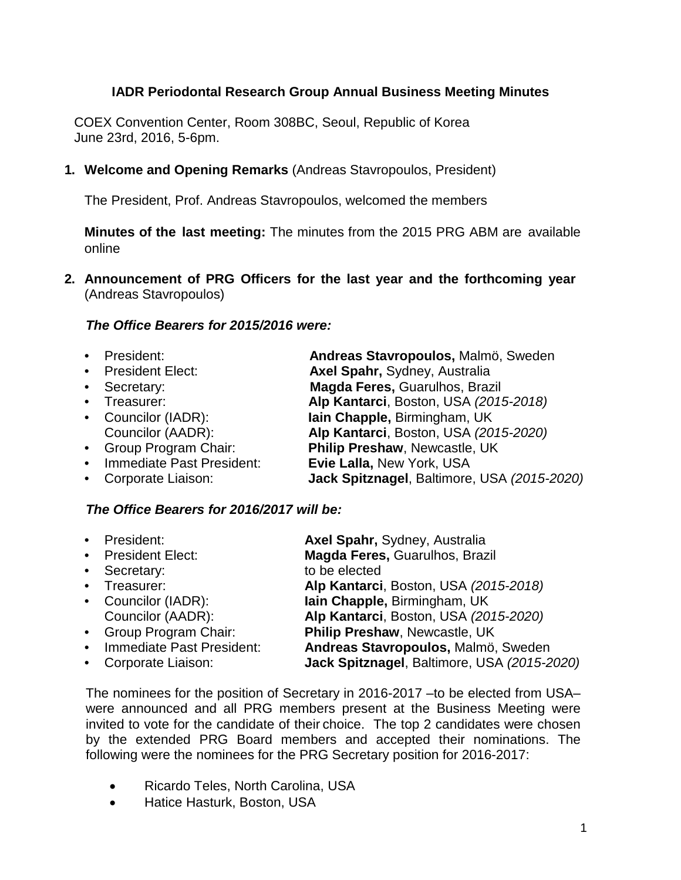# **IADR Periodontal Research Group Annual Business Meeting Minutes**

COEX Convention Center, Room 308BC, Seoul, Republic of Korea June 23rd, 2016, 5-6pm.

**1. Welcome and Opening Remarks** (Andreas Stavropoulos, President)

The President, Prof. Andreas Stavropoulos, welcomed the members

**Minutes of the last meeting:** The minutes from the 2015 PRG ABM are available online

**2. Announcement of PRG Officers for the last year and the forthcoming year** (Andreas Stavropoulos)

#### *The Office Bearers for 2015/2016 were:*

• President: **Andreas Stavropoulos,** Malmö, Sweden **Axel Spahr, Sydney, Australia** • Secretary: **Magda Feres,** Guarulhos, Brazil • Treasurer: **Alp Kantarci**, Boston, USA *(2015-2018)* **Iain Chapple, Birmingham, UK** Councilor (AADR): **Alp Kantarci**, Boston, USA *(2015-2020)* Philip Preshaw, Newcastle, UK<br>Evie Lalla, New York, USA • Immediate Past President: • Corporate Liaison: **Jack Spitznagel**, Baltimore, USA *(2015-2020)*

#### *The Office Bearers for 2016/2017 will be:*

|           | • President:                | Axel Spahr, Sydney, Australia               |
|-----------|-----------------------------|---------------------------------------------|
|           | • President Elect:          | Magda Feres, Guarulhos, Brazil              |
|           | • Secretary:                | to be elected                               |
|           | • Treasurer:                | Alp Kantarci, Boston, USA (2015-2018)       |
|           | • Councilor (IADR):         | lain Chapple, Birmingham, UK                |
|           | Councilor (AADR):           | Alp Kantarci, Boston, USA (2015-2020)       |
|           | • Group Program Chair:      | Philip Preshaw, Newcastle, UK               |
|           | • Immediate Past President: | Andreas Stavropoulos, Malmö, Sweden         |
| $\bullet$ | Corporate Liaison:          | Jack Spitznagel, Baltimore, USA (2015-2020) |
|           |                             |                                             |

The nominees for the position of Secretary in 2016-2017 –to be elected from USA– were announced and all PRG members present at the Business Meeting were invited to vote for the candidate of their choice. The top 2 candidates were chosen by the extended PRG Board members and accepted their nominations. The following were the nominees for the PRG Secretary position for 2016-2017:

- Ricardo Teles, North Carolina, USA
- Hatice Hasturk, Boston, USA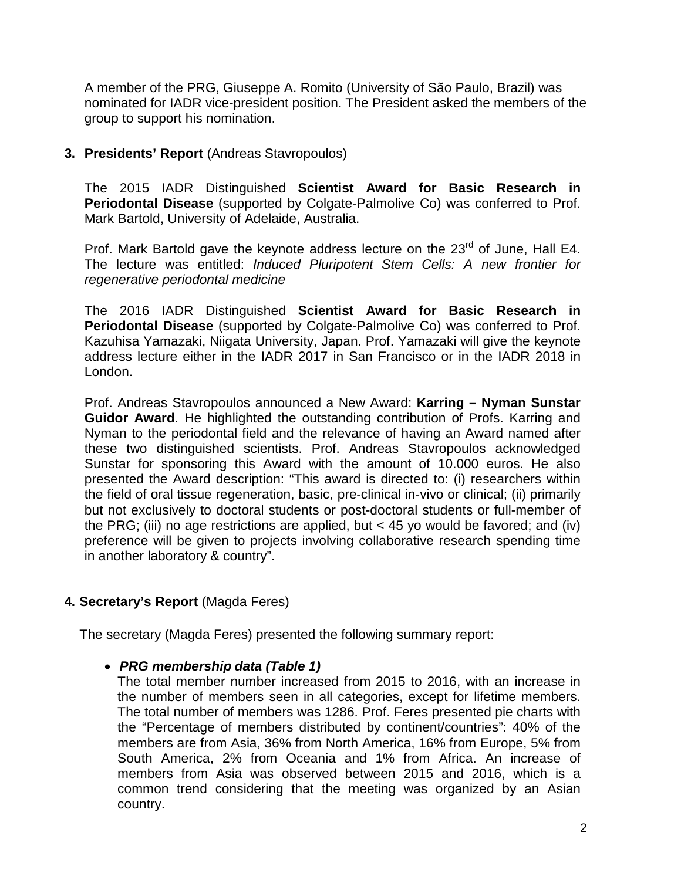A member of the PRG, Giuseppe A. Romito (University of São Paulo, Brazil) was nominated for IADR vice-president position. The President asked the members of the group to support his nomination.

### **3. Presidents' Report** (Andreas Stavropoulos)

The 2015 IADR Distinguished **Scientist Award for Basic Research in Periodontal Disease** (supported by Colgate-Palmolive Co) was conferred to Prof. Mark Bartold, University of Adelaide, Australia.

Prof. Mark Bartold gave the keynote address lecture on the 23<sup>rd</sup> of June, Hall E4. The lecture was entitled: *Induced Pluripotent Stem Cells: A new frontier for regenerative periodontal medicine*

The 2016 IADR Distinguished **Scientist Award for Basic Research in Periodontal Disease** (supported by Colgate-Palmolive Co) was conferred to Prof. Kazuhisa Yamazaki, Niigata University, Japan. Prof. Yamazaki will give the keynote address lecture either in the IADR 2017 in San Francisco or in the IADR 2018 in London.

Prof. Andreas Stavropoulos announced a New Award: **Karring – Nyman Sunstar Guidor Award**. He highlighted the outstanding contribution of Profs. Karring and Nyman to the periodontal field and the relevance of having an Award named after these two distinguished scientists. Prof. Andreas Stavropoulos acknowledged Sunstar for sponsoring this Award with the amount of 10.000 euros. He also presented the Award description: "This award is directed to: (i) researchers within the field of oral tissue regeneration, basic, pre-clinical in-vivo or clinical; (ii) primarily but not exclusively to doctoral students or post-doctoral students or full-member of the PRG; (iii) no age restrictions are applied, but  $<$  45 yo would be favored; and (iv) preference will be given to projects involving collaborative research spending time in another laboratory & country".

# **4. Secretary's Report** (Magda Feres)

The secretary (Magda Feres) presented the following summary report:

# • *PRG membership data (Table 1)*

The total member number increased from 2015 to 2016, with an increase in the number of members seen in all categories, except for lifetime members. The total number of members was 1286. Prof. Feres presented pie charts with the "Percentage of members distributed by continent/countries": 40% of the members are from Asia, 36% from North America, 16% from Europe, 5% from South America, 2% from Oceania and 1% from Africa. An increase of members from Asia was observed between 2015 and 2016, which is a common trend considering that the meeting was organized by an Asian country.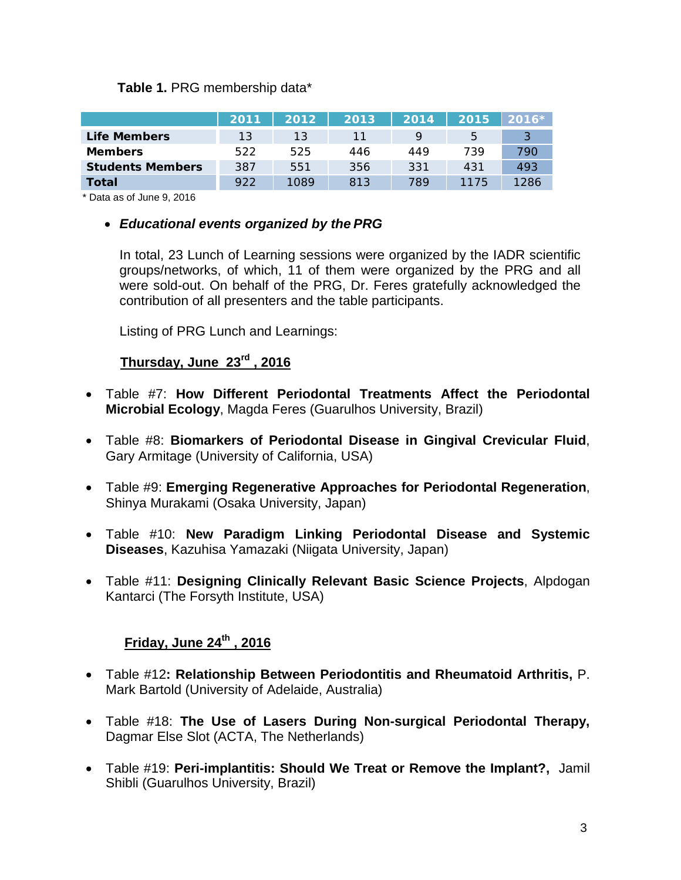# **Table 1.** PRG membership data\*

|                         | 2011 | 2012 | 2013 | 2014 | 2015 | $2016*$ |
|-------------------------|------|------|------|------|------|---------|
| Life Members            | 13   | 13   | 11   |      | 5    |         |
| <b>Members</b>          | 522  | 525  | 446  | 449  | 739  | 790     |
| <b>Students Members</b> | 387  | 551  | 356  | 331  | 431  | 493     |
| Total                   | 922  | 1089 | 813  | 789  | 1175 | 1286    |

\* Data as of June 9, 2016

### • *Educational events organized by the PRG*

In total, 23 Lunch of Learning sessions were organized by the IADR scientific groups/networks, of which, 11 of them were organized by the PRG and all were sold-out. On behalf of the PRG, Dr. Feres gratefully acknowledged the contribution of all presenters and the table participants.

Listing of PRG Lunch and Learnings:

# **Thursday, June 23rd , 2016**

- Table #7: **How Different Periodontal Treatments Affect the Periodontal Microbial Ecology**, Magda Feres (Guarulhos University, Brazil)
- Table #8: **Biomarkers of Periodontal Disease in Gingival Crevicular Fluid**, Gary Armitage (University of California, USA)
- Table #9: **Emerging Regenerative Approaches for Periodontal Regeneration**, Shinya Murakami (Osaka University, Japan)
- Table #10: **New Paradigm Linking Periodontal Disease and Systemic Diseases**, Kazuhisa Yamazaki (Niigata University, Japan)
- Table #11: **Designing Clinically Relevant Basic Science Projects**, Alpdogan Kantarci (The Forsyth Institute, USA)

# **Friday, June 24th , 2016**

- Table #12**: Relationship Between Periodontitis and Rheumatoid Arthritis,** P. Mark Bartold (University of Adelaide, Australia)
- Table #18: **The Use of Lasers During Non-surgical Periodontal Therapy,**  Dagmar Else Slot (ACTA, The Netherlands)
- Table #19: **Peri-implantitis: Should We Treat or Remove the Implant?,** Jamil Shibli (Guarulhos University, Brazil)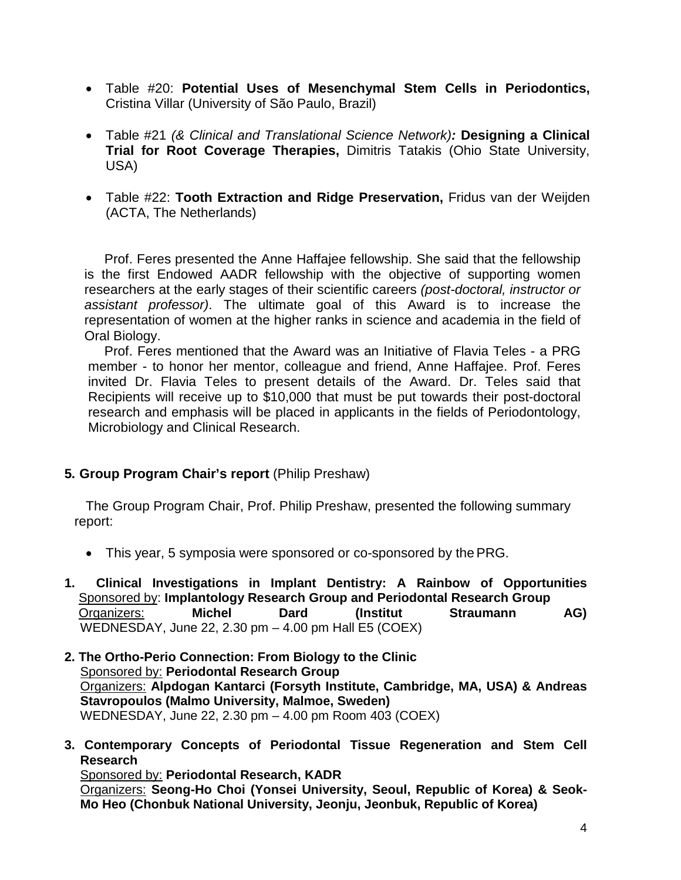- Table #20: **Potential Uses of Mesenchymal Stem Cells in Periodontics,**  Cristina Villar (University of São Paulo, Brazil)
- Table #21 *(& Clinical and Translational Science Network):* **Designing a Clinical Trial for Root Coverage Therapies,** Dimitris Tatakis (Ohio State University, USA)
- Table #22: **Tooth Extraction and Ridge Preservation,** Fridus van der Weijden (ACTA, The Netherlands)

Prof. Feres presented the Anne Haffajee fellowship. She said that the fellowship is the first Endowed AADR fellowship with the objective of supporting women researchers at the early stages of their scientific careers *(post-doctoral, instructor or assistant professor)*. The ultimate goal of this Award is to increase the representation of women at the higher ranks in science and academia in the field of Oral Biology.

Prof. Feres mentioned that the Award was an Initiative of Flavia Teles - a PRG member - to honor her mentor, colleague and friend, Anne Haffajee. Prof. Feres invited Dr. Flavia Teles to present details of the Award. Dr. Teles said that Recipients will receive up to \$10,000 that must be put towards their post-doctoral research and emphasis will be placed in applicants in the fields of Periodontology, Microbiology and Clinical Research.

**5. Group Program Chair's report** (Philip Preshaw)

The Group Program Chair, Prof. Philip Preshaw, presented the following summary report:

- This year, 5 symposia were sponsored or co-sponsored by the PRG.
- **1.****Clinical Investigations in Implant Dentistry: A Rainbow of Opportunities**Sponsored by: **Implantology Research Group and Periodontal Research Group** Organizers: **Michel Dard (Institut Straumann AG)** WEDNESDAY, June 22, 2.30 pm – 4.00 pm Hall E5 (COEX)
- **2. The Ortho-Perio Connection: From Biology to the Clinic** Sponsored by: **Periodontal Research Group**  Organizers: **Alpdogan Kantarci (Forsyth Institute, Cambridge, MA, USA) & Andreas Stavropoulos (Malmo University, Malmoe, Sweden)** WEDNESDAY, June 22, 2.30 pm – 4.00 pm Room 403 (COEX)
- **3. Contemporary Concepts of Periodontal Tissue Regeneration and Stem Cell Research**

Sponsored by: **Periodontal Research, KADR** Organizers: **Seong-Ho Choi (Yonsei University, Seoul, Republic of Korea) & Seok-Mo Heo (Chonbuk National University, Jeonju, Jeonbuk, Republic of Korea)**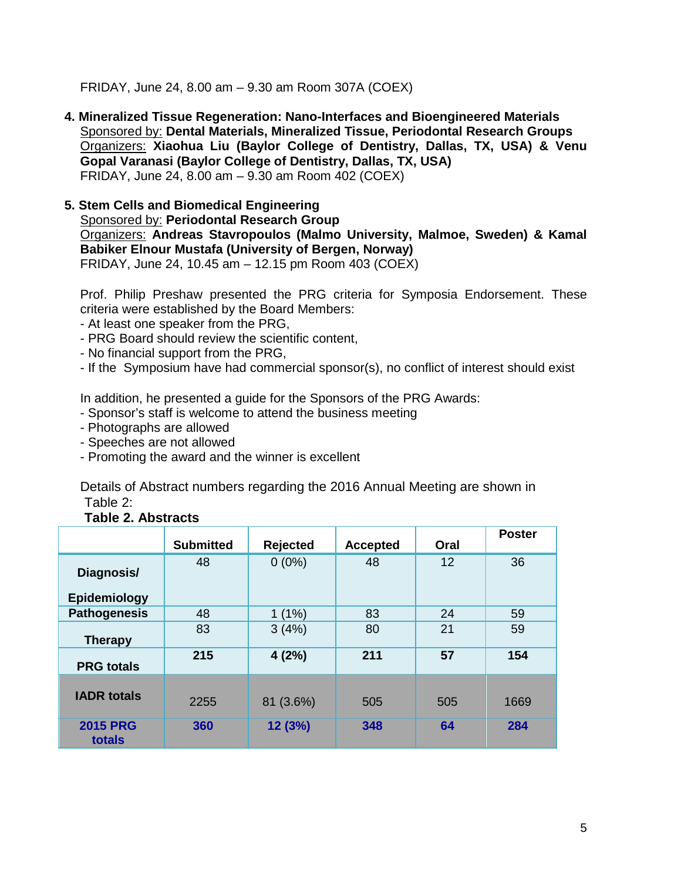FRIDAY, June 24, 8.00 am – 9.30 am Room 307A (COEX)

- **4. Mineralized Tissue Regeneration: Nano-Interfaces and Bioengineered Materials** Sponsored by: **Dental Materials, Mineralized Tissue, Periodontal Research Groups** Organizers: **Xiaohua Liu (Baylor College of Dentistry, Dallas, TX, USA) & Venu Gopal Varanasi (Baylor College of Dentistry, Dallas, TX, USA)** FRIDAY, June 24, 8.00 am – 9.30 am Room 402 (COEX)
- **5. Stem Cells and Biomedical Engineering** Sponsored by: **Periodontal Research Group**  Organizers: **Andreas Stavropoulos (Malmo University, Malmoe, Sweden) & Kamal Babiker Elnour Mustafa (University of Bergen, Norway)** FRIDAY, June 24, 10.45 am – 12.15 pm Room 403 (COEX)

Prof. Philip Preshaw presented the PRG criteria for Symposia Endorsement. These criteria were established by the Board Members:

- At least one speaker from the PRG,
- PRG Board should review the scientific content,
- No financial support from the PRG,
- If the Symposium have had commercial sponsor(s), no conflict of interest should exist

In addition, he presented a guide for the Sponsors of the PRG Awards:

- Sponsor's staff is welcome to attend the business meeting
- Photographs are allowed
- Speeches are not allowed
- Promoting the award and the winner is excellent

Details of Abstract numbers regarding the 2016 Annual Meeting are shown in Table 2:

#### **Table 2. Abstracts**

|                            | <b>Submitted</b> | <b>Rejected</b> | <b>Accepted</b> | Oral | <b>Poster</b> |
|----------------------------|------------------|-----------------|-----------------|------|---------------|
| Diagnosis/<br>Epidemiology | 48               | $0(0\%)$        | 48              | 12   | 36            |
| <b>Pathogenesis</b>        | 48               | $1(1\%)$        | 83              | 24   | 59            |
| <b>Therapy</b>             | 83               | 3(4%)           | 80              | 21   | 59            |
| <b>PRG</b> totals          | 215              | 4(2%)           | 211             | 57   | 154           |
| <b>IADR totals</b>         | 2255             | 81 (3.6%)       | 505             | 505  | 1669          |
| <b>2015 PRG</b><br>totals  | 360              | 12 (3%)         | 348             | 64   | 284           |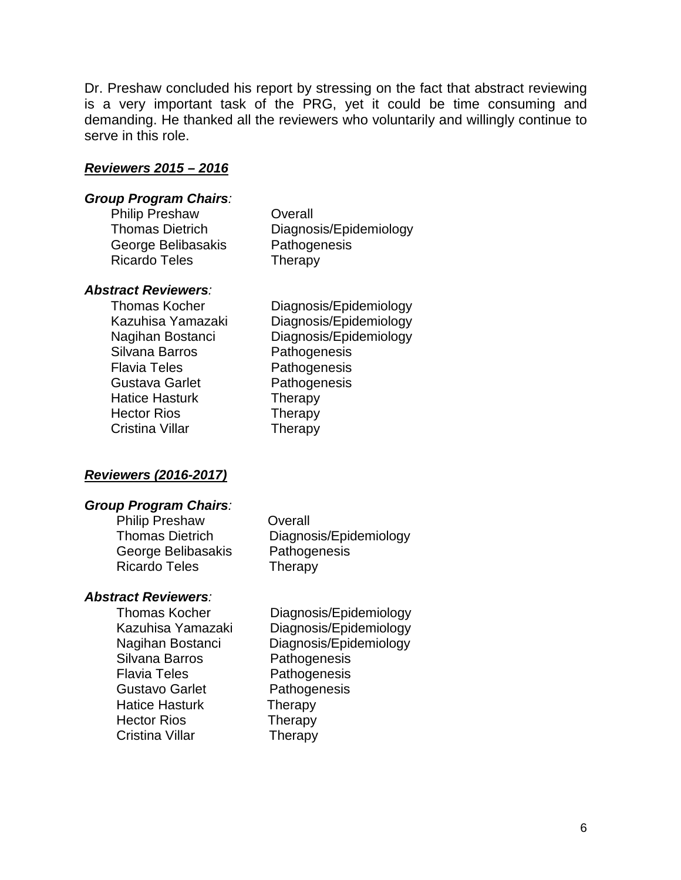Dr. Preshaw concluded his report by stressing on the fact that abstract reviewing is a very important task of the PRG, yet it could be time consuming and demanding. He thanked all the reviewers who voluntarily and willingly continue to serve in this role.

#### *Reviewers 2015 – 2016*

#### *Group Program Chairs:*

Philip Preshaw Overall George Belibasakis Pathogenesis Ricardo Teles **Therapy** 

Thomas Dietrich Diagnosis/Epidemiology

#### *Abstract Reviewers:*

Silvana Barros **Pathogenesis** Flavia Teles **Pathogenesis** Gustava Garlet Pathogenesis Hatice Hasturk Therapy Hector Rios Therapy Cristina Villar **Therapy** 

Thomas Kocher Diagnosis/Epidemiology Kazuhisa Yamazaki Diagnosis/Epidemiology Nagihan Bostanci Diagnosis/Epidemiology

#### *Reviewers (2016-2017)*

#### *Group Program Chairs:*

Philip Preshaw Overall Thomas Dietrich Diagnosis/Epidemiology George Belibasakis Pathogenesis Ricardo Teles Therapy

#### *Abstract Reviewers:*

Silvana Barros **Pathogenesis** Flavia Teles **Pathogenesis** Gustavo Garlet Pathogenesis Hatice Hasturk Therapy Hector Rios Therapy Cristina Villar Therapy

Thomas Kocher Diagnosis/Epidemiology<br>Kazuhisa Yamazaki Diagnosis/Epidemiology Diagnosis/Epidemiology Nagihan Bostanci Diagnosis/Epidemiology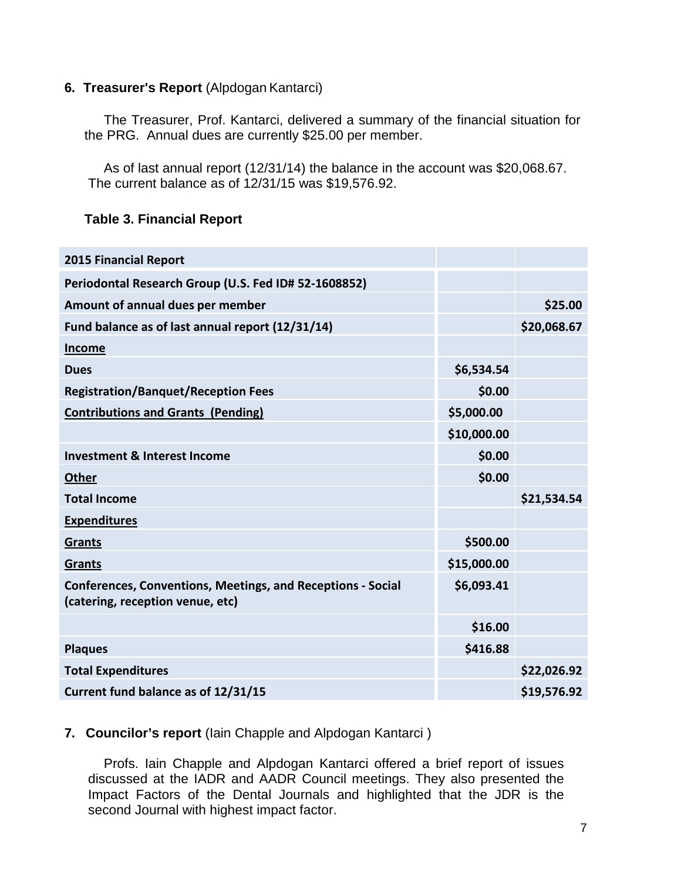### **6. Treasurer's Report** (Alpdogan Kantarci)

The Treasurer, Prof. Kantarci, delivered a summary of the financial situation for the PRG. Annual dues are currently \$25.00 per member.

As of last annual report (12/31/14) the balance in the account was \$20,068.67. The current balance as of 12/31/15 was \$19,576.92.

# **Table 3. Financial Report**

| <b>2015 Financial Report</b>                                                                           |             |             |
|--------------------------------------------------------------------------------------------------------|-------------|-------------|
| Periodontal Research Group (U.S. Fed ID# 52-1608852)                                                   |             |             |
| Amount of annual dues per member                                                                       |             | \$25.00     |
| Fund balance as of last annual report (12/31/14)                                                       |             | \$20,068.67 |
| <b>Income</b>                                                                                          |             |             |
| <b>Dues</b>                                                                                            | \$6,534.54  |             |
| <b>Registration/Banquet/Reception Fees</b>                                                             | \$0.00      |             |
| <b>Contributions and Grants (Pending)</b>                                                              | \$5,000.00  |             |
|                                                                                                        | \$10,000.00 |             |
| <b>Investment &amp; Interest Income</b>                                                                | \$0.00      |             |
| <b>Other</b>                                                                                           | \$0.00      |             |
| <b>Total Income</b>                                                                                    |             | \$21,534.54 |
| <b>Expenditures</b>                                                                                    |             |             |
| Grants                                                                                                 | \$500.00    |             |
| <b>Grants</b>                                                                                          | \$15,000.00 |             |
| <b>Conferences, Conventions, Meetings, and Receptions - Social</b><br>(catering, reception venue, etc) | \$6,093.41  |             |
|                                                                                                        | \$16.00     |             |
| <b>Plaques</b>                                                                                         | \$416.88    |             |
| <b>Total Expenditures</b>                                                                              |             | \$22,026.92 |
| Current fund balance as of 12/31/15                                                                    |             | \$19,576.92 |

# **7. Councilor's report** (Iain Chapple and Alpdogan Kantarci )

Profs. Iain Chapple and Alpdogan Kantarci offered a brief report of issues discussed at the IADR and AADR Council meetings. They also presented the Impact Factors of the Dental Journals and highlighted that the JDR is the second Journal with highest impact factor.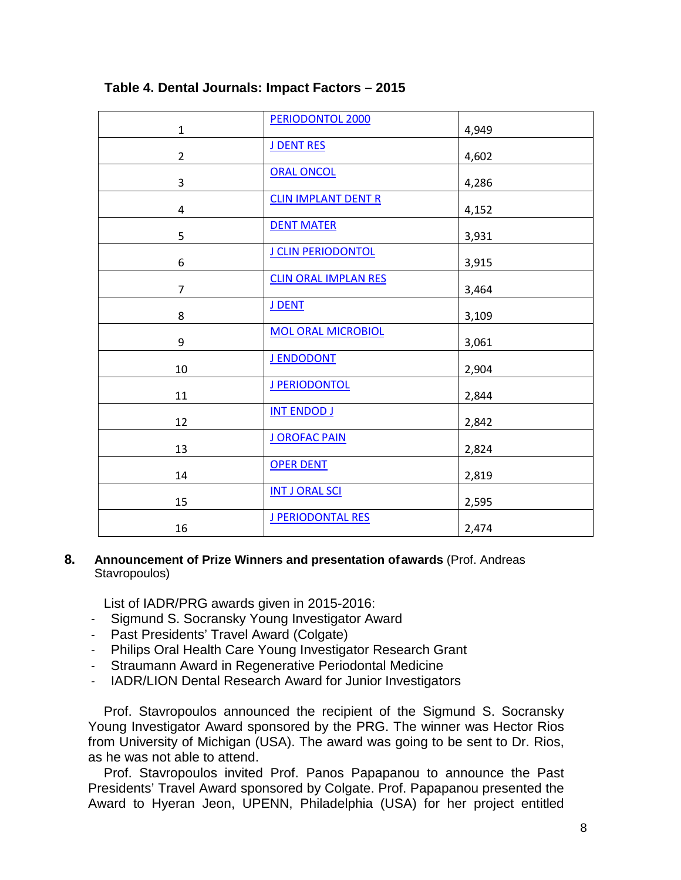| $\mathbf 1$    | PERIODONTOL 2000            | 4,949 |
|----------------|-----------------------------|-------|
| $\overline{2}$ | J DENT RES                  | 4,602 |
| 3              | <b>ORAL ONCOL</b>           | 4,286 |
| 4              | <b>CLIN IMPLANT DENT R</b>  | 4,152 |
| 5              | <b>DENT MATER</b>           | 3,931 |
| 6              | J CLIN PERIODONTOL          | 3,915 |
| $\overline{7}$ | <b>CLIN ORAL IMPLAN RES</b> | 3,464 |
| 8              | J DENT                      | 3,109 |
| 9              | <b>MOL ORAL MICROBIOL</b>   | 3,061 |
| 10             | <b>J ENDODONT</b>           | 2,904 |
| 11             | J PERIODONTOL               | 2,844 |
| 12             | <b>INT ENDOD J</b>          | 2,842 |
| 13             | <b>J OROFAC PAIN</b>        | 2,824 |
| 14             | <b>OPER DENT</b>            | 2,819 |
| 15             | <b>INT J ORAL SCI</b>       | 2,595 |
| 16             | <b>J PERIODONTAL RES</b>    | 2,474 |

### **Table 4. Dental Journals: Impact Factors – 2015**

#### **8. Announcement of Prize Winners and presentation ofawards** (Prof. Andreas Stavropoulos)

List of IADR/PRG awards given in 2015-2016:

- *-* Sigmund S. Socransky Young Investigator Award
- *-* Past Presidents' Travel Award (Colgate)
- *-* Philips Oral Health Care Young Investigator Research Grant
- *-* Straumann Award in Regenerative Periodontal Medicine
- *-* IADR/LION Dental Research Award for Junior Investigators

Prof. Stavropoulos announced the recipient of the Sigmund S. Socransky Young Investigator Award sponsored by the PRG. The winner was Hector Rios from University of Michigan (USA). The award was going to be sent to Dr. Rios, as he was not able to attend.

Prof. Stavropoulos invited Prof. Panos Papapanou to announce the Past Presidents' Travel Award sponsored by Colgate. Prof. Papapanou presented the Award to Hyeran Jeon, UPENN, Philadelphia (USA) for her project entitled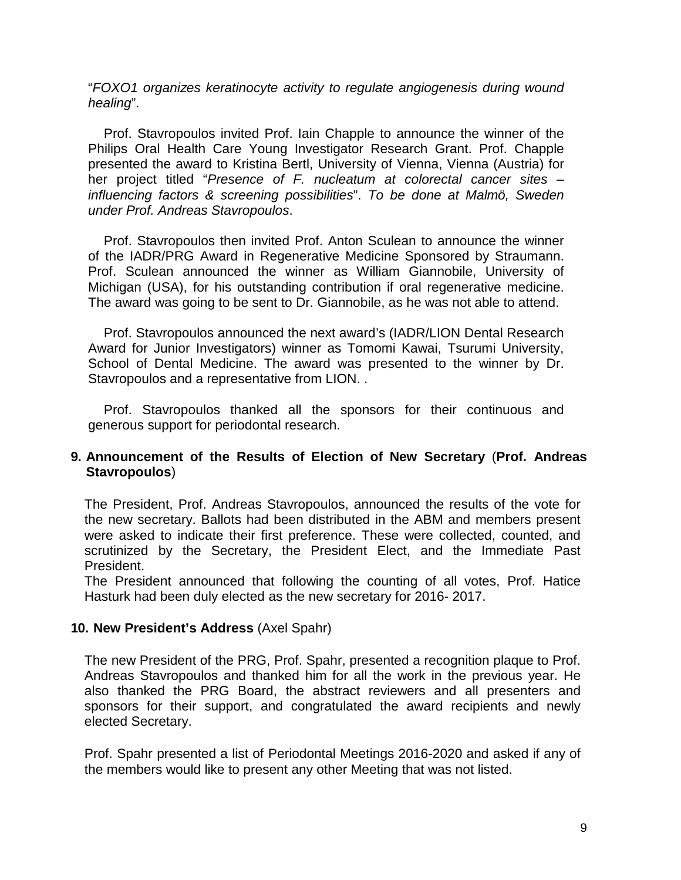"*FOXO1 organizes keratinocyte activity to regulate angiogenesis during wound healing*".

Prof. Stavropoulos invited Prof. Iain Chapple to announce the winner of the Philips Oral Health Care Young Investigator Research Grant. Prof. Chapple presented the award to Kristina Bertl, University of Vienna, Vienna (Austria) for her project titled "*Presence of F. nucleatum at colorectal cancer sites – influencing factors & screening possibilities*". *To be done at Malmö, Sweden under Prof. Andreas Stavropoulos*.

Prof. Stavropoulos then invited Prof. Anton Sculean to announce the winner of the IADR/PRG Award in Regenerative Medicine Sponsored by Straumann. Prof. Sculean announced the winner as William Giannobile, University of Michigan (USA), for his outstanding contribution if oral regenerative medicine. The award was going to be sent to Dr. Giannobile, as he was not able to attend.

Prof. Stavropoulos announced the next award's (IADR/LION Dental Research Award for Junior Investigators) winner as Tomomi Kawai, Tsurumi University, School of Dental Medicine. The award was presented to the winner by Dr. Stavropoulos and a representative from LION. .

Prof. Stavropoulos thanked all the sponsors for their continuous and generous support for periodontal research.

### **9. Announcement of the Results of Election of New Secretary** (**Prof. Andreas Stavropoulos**)

The President, Prof. Andreas Stavropoulos, announced the results of the vote for the new secretary. Ballots had been distributed in the ABM and members present were asked to indicate their first preference. These were collected, counted, and scrutinized by the Secretary, the President Elect, and the Immediate Past President.

The President announced that following the counting of all votes, Prof. Hatice Hasturk had been duly elected as the new secretary for 2016- 2017.

#### **10. New President's Address** (Axel Spahr)

The new President of the PRG, Prof. Spahr, presented a recognition plaque to Prof. Andreas Stavropoulos and thanked him for all the work in the previous year. He also thanked the PRG Board, the abstract reviewers and all presenters and sponsors for their support, and congratulated the award recipients and newly elected Secretary.

Prof. Spahr presented a list of Periodontal Meetings 2016-2020 and asked if any of the members would like to present any other Meeting that was not listed.